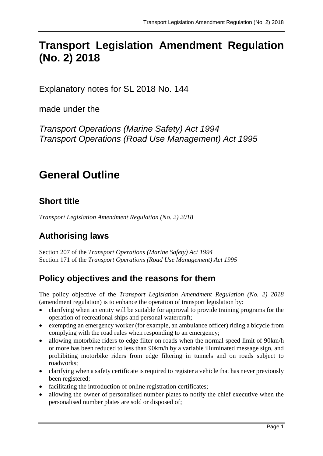# **Transport Legislation Amendment Regulation (No. 2) 2018**

Explanatory notes for SL 2018 No. 144

made under the

*Transport Operations (Marine Safety) Act 1994 Transport Operations (Road Use Management) Act 1995*

# **General Outline**

# **Short title**

*Transport Legislation Amendment Regulation (No. 2) 2018*

# **Authorising laws**

Section 207 of the *Transport Operations (Marine Safety) Act 1994* Section 171 of the *Transport Operations (Road Use Management) Act 1995*

# **Policy objectives and the reasons for them**

The policy objective of the *Transport Legislation Amendment Regulation (No. 2) 2018* (amendment regulation) is to enhance the operation of transport legislation by:

- clarifying when an entity will be suitable for approval to provide training programs for the operation of recreational ships and personal watercraft;
- exempting an emergency worker (for example, an ambulance officer) riding a bicycle from complying with the road rules when responding to an emergency;
- allowing motorbike riders to edge filter on roads when the normal speed limit of 90km/h or more has been reduced to less than 90km/h by a variable illuminated message sign, and prohibiting motorbike riders from edge filtering in tunnels and on roads subject to roadworks;
- clarifying when a safety certificate is required to register a vehicle that has never previously been registered;
- facilitating the introduction of online registration certificates;
- allowing the owner of personalised number plates to notify the chief executive when the personalised number plates are sold or disposed of;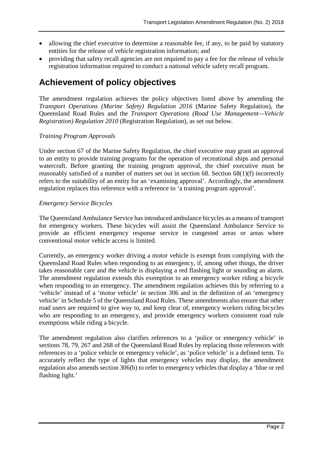- allowing the chief executive to determine a reasonable fee, if any, to be paid by statutory entities for the release of vehicle registration information; and
- providing that safety recall agencies are not required to pay a fee for the release of vehicle registration information required to conduct a national vehicle safety recall program.

# **Achievement of policy objectives**

The amendment regulation achieves the policy objectives listed above by amending the *Transport Operations (Marine Safety) Regulation 2016* (Marine Safety Regulation), the Queensland Road Rules and the *Transport Operations (Road Use Management—Vehicle Registration) Regulation 2010* (Registration Regulation), as set out below.

#### *Training Program Approvals*

Under section 67 of the Marine Safety Regulation, the chief executive may grant an approval to an entity to provide training programs for the operation of recreational ships and personal watercraft. Before granting the training program approval, the chief executive must be reasonably satisfied of a number of matters set out in section 68. Section 68(1)(f) incorrectly refers to the suitability of an entity for an 'examining approval'. Accordingly, the amendment regulation replaces this reference with a reference to 'a training program approval'.

#### *Emergency Service Bicycles*

The Queensland Ambulance Service has introduced ambulance bicycles as a means of transport for emergency workers. These bicycles will assist the Queensland Ambulance Service to provide an efficient emergency response service in congested areas or areas where conventional motor vehicle access is limited.

Currently, an emergency worker driving a motor vehicle is exempt from complying with the Queensland Road Rules when responding to an emergency, if, among other things, the driver takes reasonable care and the vehicle is displaying a red flashing light or sounding an alarm. The amendment regulation extends this exemption to an emergency worker riding a bicycle when responding to an emergency. The amendment regulation achieves this by referring to a 'vehicle' instead of a 'motor vehicle' in section 306 and in the definition of an 'emergency vehicle' in Schedule 5 of the Queensland Road Rules. These amendments also ensure that other road users are required to give way to, and keep clear of, emergency workers riding bicycles who are responding to an emergency, and provide emergency workers consistent road rule exemptions while riding a bicycle.

The amendment regulation also clarifies references to a 'police or emergency vehicle' in sections 78, 79, 267 and 268 of the Queensland Road Rules by replacing those references with references to a 'police vehicle or emergency vehicle', as 'police vehicle' is a defined term. To accurately reflect the type of lights that emergency vehicles may display, the amendment regulation also amends section 306(b) to refer to emergency vehicles that display a 'blue or red flashing light.'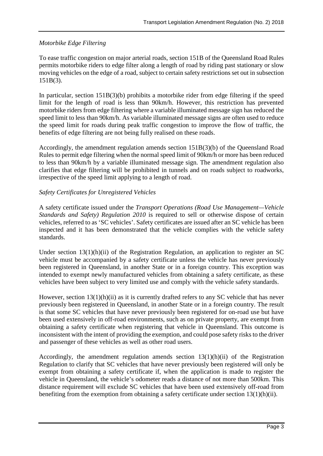#### *Motorbike Edge Filtering*

To ease traffic congestion on major arterial roads, section 151B of the Queensland Road Rules permits motorbike riders to edge filter along a length of road by riding past stationary or slow moving vehicles on the edge of a road, subject to certain safety restrictions set out in subsection 151B(3).

In particular, section 151B(3)(b) prohibits a motorbike rider from edge filtering if the speed limit for the length of road is less than 90km/h. However, this restriction has prevented motorbike riders from edge filtering where a variable illuminated message sign has reduced the speed limit to less than 90km/h. As variable illuminated message signs are often used to reduce the speed limit for roads during peak traffic congestion to improve the flow of traffic, the benefits of edge filtering are not being fully realised on these roads.

Accordingly, the amendment regulation amends section 151B(3)(b) of the Queensland Road Rules to permit edge filtering when the normal speed limit of 90km/h or more has been reduced to less than 90km/h by a variable illuminated message sign. The amendment regulation also clarifies that edge filtering will be prohibited in tunnels and on roads subject to roadworks, irrespective of the speed limit applying to a length of road.

#### *Safety Certificates for Unregistered Vehicles*

A safety certificate issued under the *Transport Operations (Road Use Management—Vehicle Standards and Safety) Regulation 2010* is required to sell or otherwise dispose of certain vehicles, referred to as 'SC vehicles'. Safety certificates are issued after an SC vehicle has been inspected and it has been demonstrated that the vehicle complies with the vehicle safety standards.

Under section 13(1)(h)(ii) of the Registration Regulation, an application to register an SC vehicle must be accompanied by a safety certificate unless the vehicle has never previously been registered in Queensland, in another State or in a foreign country. This exception was intended to exempt newly manufactured vehicles from obtaining a safety certificate, as these vehicles have been subject to very limited use and comply with the vehicle safety standards.

However, section 13(1)(h)(ii) as it is currently drafted refers to any SC vehicle that has never previously been registered in Queensland, in another State or in a foreign country. The result is that some SC vehicles that have never previously been registered for on-road use but have been used extensively in off-road environments, such as on private property, are exempt from obtaining a safety certificate when registering that vehicle in Queensland. This outcome is inconsistent with the intent of providing the exemption, and could pose safety risks to the driver and passenger of these vehicles as well as other road users.

Accordingly, the amendment regulation amends section 13(1)(h)(ii) of the Registration Regulation to clarify that SC vehicles that have never previously been registered will only be exempt from obtaining a safety certificate if, when the application is made to register the vehicle in Queensland, the vehicle's odometer reads a distance of not more than 500km. This distance requirement will exclude SC vehicles that have been used extensively off-road from benefiting from the exemption from obtaining a safety certificate under section 13(1)(h)(ii).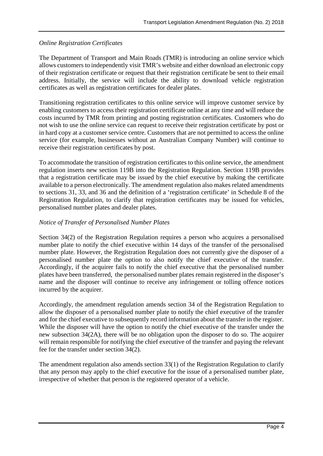#### *Online Registration Certificates*

The Department of Transport and Main Roads (TMR) is introducing an online service which allows customers to independently visit TMR's website and either download an electronic copy of their registration certificate or request that their registration certificate be sent to their email address. Initially, the service will include the ability to download vehicle registration certificates as well as registration certificates for dealer plates.

Transitioning registration certificates to this online service will improve customer service by enabling customers to access their registration certificate online at any time and will reduce the costs incurred by TMR from printing and posting registration certificates. Customers who do not wish to use the online service can request to receive their registration certificate by post or in hard copy at a customer service centre. Customers that are not permitted to access the online service (for example, businesses without an Australian Company Number) will continue to receive their registration certificates by post.

To accommodate the transition of registration certificates to this online service, the amendment regulation inserts new section 119B into the Registration Regulation. Section 119B provides that a registration certificate may be issued by the chief executive by making the certificate available to a person electronically. The amendment regulation also makes related amendments to sections 31, 33, and 36 and the definition of a 'registration certificate' in Schedule 8 of the Registration Regulation, to clarify that registration certificates may be issued for vehicles, personalised number plates and dealer plates.

#### *Notice of Transfer of Personalised Number Plates*

Section 34(2) of the Registration Regulation requires a person who acquires a personalised number plate to notify the chief executive within 14 days of the transfer of the personalised number plate. However, the Registration Regulation does not currently give the disposer of a personalised number plate the option to also notify the chief executive of the transfer. Accordingly, if the acquirer fails to notify the chief executive that the personalised number plates have been transferred, the personalised number plates remain registered in the disposer's name and the disposer will continue to receive any infringement or tolling offence notices incurred by the acquirer.

Accordingly, the amendment regulation amends section 34 of the Registration Regulation to allow the disposer of a personalised number plate to notify the chief executive of the transfer and for the chief executive to subsequently record information about the transfer in the register. While the disposer will have the option to notify the chief executive of the transfer under the new subsection 34(2A), there will be no obligation upon the disposer to do so. The acquirer will remain responsible for notifying the chief executive of the transfer and paying the relevant fee for the transfer under section 34(2).

The amendment regulation also amends section 33(1) of the Registration Regulation to clarify that any person may apply to the chief executive for the issue of a personalised number plate, irrespective of whether that person is the registered operator of a vehicle.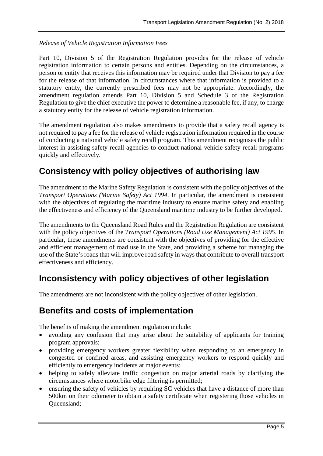#### *Release of Vehicle Registration Information Fees*

Part 10, Division 5 of the Registration Regulation provides for the release of vehicle registration information to certain persons and entities. Depending on the circumstances, a person or entity that receives this information may be required under that Division to pay a fee for the release of that information. In circumstances where that information is provided to a statutory entity, the currently prescribed fees may not be appropriate. Accordingly, the amendment regulation amends Part 10, Division 5 and Schedule 3 of the Registration Regulation to give the chief executive the power to determine a reasonable fee, if any, to charge a statutory entity for the release of vehicle registration information.

The amendment regulation also makes amendments to provide that a safety recall agency is not required to pay a fee for the release of vehicle registration information required in the course of conducting a national vehicle safety recall program. This amendment recognises the public interest in assisting safety recall agencies to conduct national vehicle safety recall programs quickly and effectively.

## **Consistency with policy objectives of authorising law**

The amendment to the Marine Safety Regulation is consistent with the policy objectives of the *Transport Operations (Marine Safety) Act 1994*. In particular, the amendment is consistent with the objectives of regulating the maritime industry to ensure marine safety and enabling the effectiveness and efficiency of the Queensland maritime industry to be further developed.

The amendments to the Queensland Road Rules and the Registration Regulation are consistent with the policy objectives of the *Transport Operations (Road Use Management) Act 1995*. In particular, these amendments are consistent with the objectives of providing for the effective and efficient management of road use in the State, and providing a scheme for managing the use of the State's roads that will improve road safety in ways that contribute to overall transport effectiveness and efficiency.

## **Inconsistency with policy objectives of other legislation**

The amendments are not inconsistent with the policy objectives of other legislation.

### **Benefits and costs of implementation**

The benefits of making the amendment regulation include:

- avoiding any confusion that may arise about the suitability of applicants for training program approvals;
- providing emergency workers greater flexibility when responding to an emergency in congested or confined areas, and assisting emergency workers to respond quickly and efficiently to emergency incidents at major events;
- helping to safely alleviate traffic congestion on major arterial roads by clarifying the circumstances where motorbike edge filtering is permitted;
- ensuring the safety of vehicles by requiring SC vehicles that have a distance of more than 500km on their odometer to obtain a safety certificate when registering those vehicles in Queensland;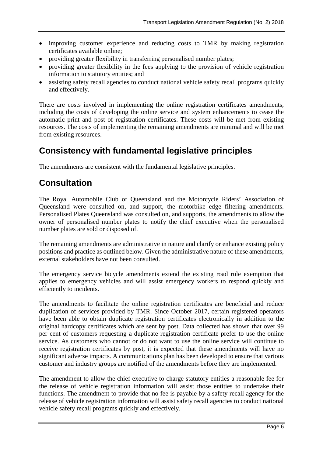- improving customer experience and reducing costs to TMR by making registration certificates available online;
- providing greater flexibility in transferring personalised number plates;
- providing greater flexibility in the fees applying to the provision of vehicle registration information to statutory entities; and
- assisting safety recall agencies to conduct national vehicle safety recall programs quickly and effectively.

There are costs involved in implementing the online registration certificates amendments, including the costs of developing the online service and system enhancements to cease the automatic print and post of registration certificates. These costs will be met from existing resources. The costs of implementing the remaining amendments are minimal and will be met from existing resources.

### **Consistency with fundamental legislative principles**

The amendments are consistent with the fundamental legislative principles.

### **Consultation**

The Royal Automobile Club of Queensland and the Motorcycle Riders' Association of Queensland were consulted on, and support, the motorbike edge filtering amendments. Personalised Plates Queensland was consulted on, and supports, the amendments to allow the owner of personalised number plates to notify the chief executive when the personalised number plates are sold or disposed of.

The remaining amendments are administrative in nature and clarify or enhance existing policy positions and practice as outlined below. Given the administrative nature of these amendments, external stakeholders have not been consulted.

The emergency service bicycle amendments extend the existing road rule exemption that applies to emergency vehicles and will assist emergency workers to respond quickly and efficiently to incidents.

The amendments to facilitate the online registration certificates are beneficial and reduce duplication of services provided by TMR. Since October 2017, certain registered operators have been able to obtain duplicate registration certificates electronically in addition to the original hardcopy certificates which are sent by post. Data collected has shown that over 99 per cent of customers requesting a duplicate registration certificate prefer to use the online service. As customers who cannot or do not want to use the online service will continue to receive registration certificates by post, it is expected that these amendments will have no significant adverse impacts. A communications plan has been developed to ensure that various customer and industry groups are notified of the amendments before they are implemented.

The amendment to allow the chief executive to charge statutory entities a reasonable fee for the release of vehicle registration information will assist those entities to undertake their functions. The amendment to provide that no fee is payable by a safety recall agency for the release of vehicle registration information will assist safety recall agencies to conduct national vehicle safety recall programs quickly and effectively.